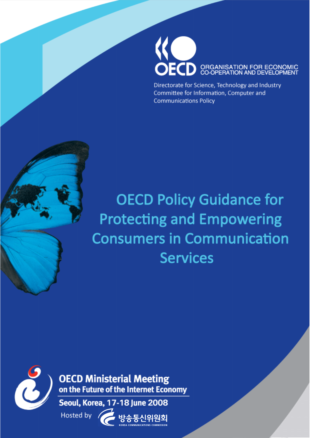

Directorate for Science, Technology and Industry Committee for Information, Computer and **Communications Policy** 

## **OECD Policy Guidance for Protecting and Empowering Consumers in Communication Services**



**OECD Ministerial Meeting** on the Future of the Internet Economy

Hosted by

Seoul, Korea, 17-18 June 2008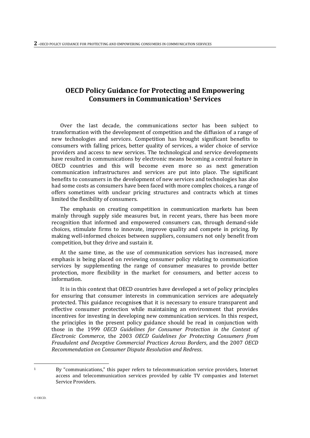## **OECD Policy Guidance for Protecting and Empowering Consumers in Communication<sup>1</sup> Services**

Over the last decade, the communications sector has been subject to transformation with the development of competition and the diffusion of a range of new technologies and services. Competition has brought significant benefits to consumers with falling prices, better quality of services, a wider choice of service providers and access to new services. The technological and service developments have resulted in communications by electronic means becoming a central feature in OECD countries and this will become even more so as next generation communication infrastructures and services are put into place. The significant benefits to consumers in the development of new services and technologies has also had some costs as consumers have been faced with more complex choices, a range of offers sometimes with unclear pricing structures and contracts which at times limited the flexibility of consumers.

The emphasis on creating competition in communication markets has been mainly through supply side measures but, in recent years, there has been more recognition that informed and empowered consumers can, through demand-side choices, stimulate firms to innovate, improve quality and compete in pricing. By making well-informed choices between suppliers, consumers not only benefit from competition, but they drive and sustain it.

At the same time, as the use of communication services has increased, more emphasis is being placed on reviewing consumer policy relating to communication services by supplementing the range of consumer measures to provide better protection, more flexibility in the market for consumers, and better access to information.

It is in this context that OECD countries have developed a set of policy principles for ensuring that consumer interests in communication services are adequately protected. This guidance recognise**s** that it is necessary to ensure transparent and effective consumer protection while maintaining an environment that provides incentives for investing in developing new communication services. In this respect, the principles in the present policy guidance should be read in conjunction with those in the 1999 *OECD Guidelines for Consumer Protection in the Context of Electronic Commerce*, the 2003 *OECD Guidelines for Protecting Consumers from Fraudulent and Deceptive Commercial Practices Across Borders*, and the 2007 *OECD Recommendation on Consumer Dispute Resolution and Redress*.

 $\overline{a}$ 

<sup>1</sup> By "communications," this paper refers to telecommunication service providers, Internet access and telecommunication services provided by cable TV companies and Internet Service Providers.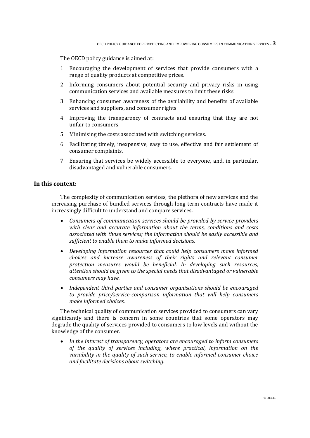The OECD policy guidance is aimed at:

- 1. Encouraging the development of services that provide consumers with a range of quality products at competitive prices.
- 2. Informing consumers about potential security and privacy risks in using communication services and available measures to limit these risks.
- 3. Enhancing consumer awareness of the availability and benefits of available services and suppliers, and consumer rights.
- 4. Improving the transparency of contracts and ensuring that they are not unfair to consumers.
- 5. Minimising the costs associated with switching services.
- 6. Facilitating timely, inexpensive, easy to use, effective and fair settlement of consumer complaints*.*
- 7. Ensuring that services be widely accessible to everyone, and, in particular, disadvantaged and vulnerable consumers.

## **In this context:**

The complexity of communication services, the plethora of new services and the increasing purchase of bundled services through long term contracts have made it increasingly difficult to understand and compare services.

- *Consumers of communication services should be provided by service providers with clear and accurate information about the terms, conditions and costs associated with those services; the information should be easily accessible and sufficient to enable them to make informed decisions.*
- *Developing information resources that could help consumers make informed choices and increase awareness of their rights and relevant consumer protection measures would be beneficial. In developing such resources, attention should be given to the special needs that disadvantaged or vulnerable consumers may have.*
- *Independent third parties and consumer organisations should be encouraged to provide price/service-comparison information that will help consumers make informed choices.*

The technical quality of communication services provided to consumers can vary significantly and there is concern in some countries that some operators may degrade the quality of services provided to consumers to low levels and without the knowledge of the consumer.

 *In the interest of transparency, operators are encouraged to inform consumers of the quality of services including, where practical, information on the variability in the quality of such service, to enable informed consumer choice and facilitate decisions about switching.*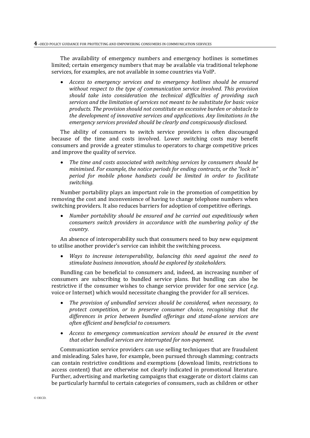The availability of emergency numbers and emergency hotlines is sometimes limited; certain emergency numbers that may be available via traditional telephone services, for examples, are not available in some countries via VoIP.

 *Access to emergency services and to emergency hotlines should be ensured without respect to the type of communication service involved. This provision should take into consideration the technical difficulties of providing such services and the limitation of services not meant to be substitute for basic voice products. The provision should not constitute an excessive burden or obstacle to the development of innovative services and applications. Any limitations in the emergency services provided should be clearly and conspicuously disclosed.* 

The ability of consumers to switch service providers is often discouraged because of the time and costs involved. Lower switching costs may benefit consumers and provide a greater stimulus to operators to charge competitive prices and improve the quality of service.

 *The time and costs associated with switching services by consumers should be minimised. For example, the notice periods for ending contracts, or the "lock in" period for mobile phone handsets could be limited in order to facilitate switching.*

Number portability plays an important role in the promotion of competition by removing the cost and inconvenience of having to change telephone numbers when switching providers. It also reduces barriers for adoption of competitive offerings.

 *Number portability should be ensured and be carried out expeditiously when consumers switch providers in accordance with the numbering policy of the country.* 

An absence of interoperability such that consumers need to buy new equipment to utilise another provider's service can inhibit the switching process.

 *Ways to increase interoperability, balancing this need against the need to stimulate business innovation, should be explored by stakeholders.* 

Bundling can be beneficial to consumers and, indeed, an increasing number of consumers are subscribing to bundled service plans. But bundling can also be restrictive if the consumer wishes to change service provider for one service (*e.g*. voice or Internet) which would necessitate changing the provider for all services.

- *The provision of unbundled services should be considered, when necessary, to protect competition, or to preserve consumer choice, recognising that the differences in price between bundled offerings and stand-alone services are often efficient and beneficial to consumers.*
- *Access to emergency communication services should be ensured in the event that other bundled services are interrupted for non-payment.*

Communication service providers can use selling techniques that are fraudulent and misleading. Sales have, for example, been pursued through slamming; contracts can contain restrictive conditions and exemptions (download limits, restrictions to access content) that are otherwise not clearly indicated in promotional literature. Further, advertising and marketing campaigns that exaggerate or distort claims can be particularly harmful to certain categories of consumers, such as children or other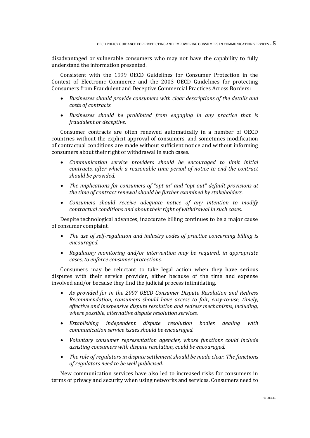disadvantaged or vulnerable consumers who may not have the capability to fully understand the information presented.

Consistent with the 1999 OECD Guidelines for Consumer Protection in the Context of Electronic Commerce and the 2003 OECD Guidelines for protecting Consumers from Fraudulent and Deceptive Commercial Practices Across Borders:

- *Businesses should provide consumers with clear descriptions of the details and costs of contracts.*
- *Businesses should be prohibited from engaging in any practice that is fraudulent or deceptive.*

Consumer contracts are often renewed automatically in a number of OECD countries without the explicit approval of consumers, and sometimes modification of contractual conditions are made without sufficient notice and without informing consumers about their right of withdrawal in such cases.

- *Communication service providers should be encouraged to limit initial contracts, after which a reasonable time period of notice to end the contract should be provided.*
- *The implications for consumers of "opt-in" and "opt-out" default provisions at the time of contract renewal should be further examined by stakeholders.*
- *Consumers should receive adequate notice of any intention to modify contractual conditions and about their right of withdrawal in such cases.*

Despite technological advances, inaccurate billing continues to be a major cause of consumer complaint.

- *The use of self-regulation and industry codes of practice concerning billing is encouraged.*
- *Regulatory monitoring and/or intervention may be required, in appropriate cases, to enforce consumer protections.*

Consumers may be reluctant to take legal action when they have serious disputes with their service provider, either because of the time and expense involved and/or because they find the judicial process intimidating.

- *As provided for in the 2007 OECD Consumer Dispute Resolution and Redress Recommendation, consumers should have access to fair, easy-to-use, timely, effective and inexpensive dispute resolution and redress mechanisms, including, where possible, alternative dispute resolution services.*
- *Establishing independent dispute resolution bodies dealing with communication service issues should be encouraged.*
- *Voluntary consumer representation agencies, whose functions could include assisting consumers with dispute resolution, could be encouraged.*
- *The role of regulators in dispute settlement should be made clear. The functions of regulators need to be well publicised.*

New communication services have also led to increased risks for consumers in terms of privacy and security when using networks and services. Consumers need to